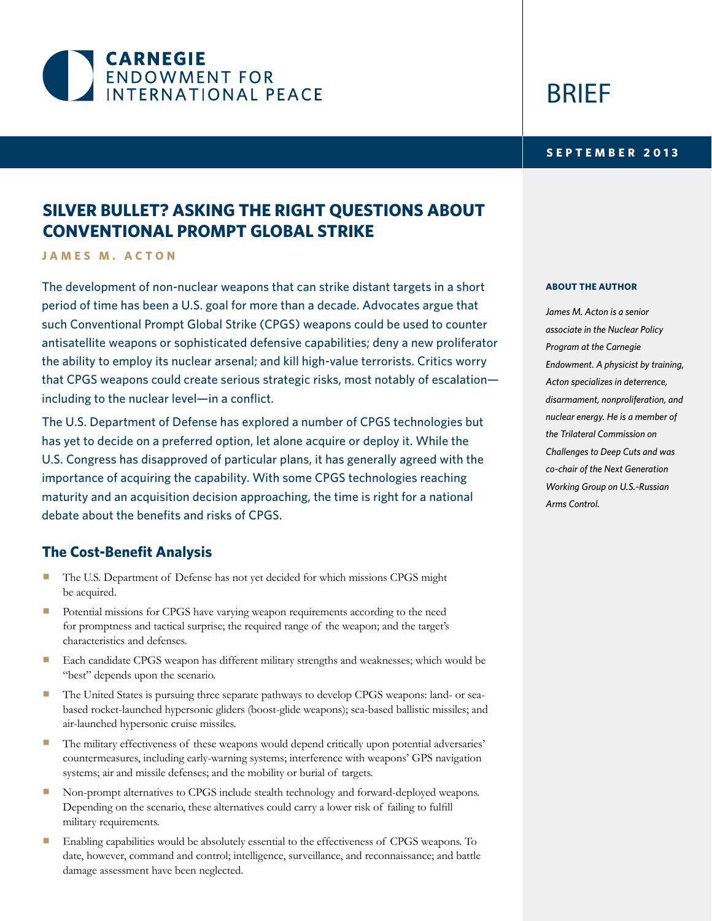

# BRIEF

### **2013 SEPTEMBER**

# **SILVER BULLET? ASKING THE RIGHT QUESTIONS ABOUT CONVENTIONAL PROMPT GLOBAL STRIKE**

**JAMES M. ACTON** 

The development of non-nuclear weapons that can strike distant targets in a short period of time has been a U.S. goal for more than a decade. Advocates argue that such Conventional Prompt Global Strike (CPGS) weapons could be used to counter antisatellite weapons or sophisticated defensive capabilities; deny a new proliferator the ability to employ its nuclear arsenal; and kill high-value terrorists. Critics worry that CPGS weapons could create serious strategic risks, most notably of escalation $including to the nuclear level—in a conflict.$ 

The U.S. Department of Defense has explored a number of CPGS technologies but has yet to decide on a preferred option, let alone acquire or deploy it. While the U.S. Congress has disapproved of particular plans, it has generally agreed with the importance of acquiring the capability. With some CPGS technologies reaching maturity and an acquisition decision approaching, the time is right for a national debate about the benefits and risks of CPGS.

# **The Cost-Benefit Analysis**

- The U.S. Department of Defense has not yet decided for which missions CPGS might be acquired.
- Potential missions for CPGS have varying weapon requirements according to the need for promptness and tactical surprise; the required range of the weapon; and the target's characteristics and defenses.
- Each candidate CPGS weapon has different military strengths and weaknesses; which would be "best" depends upon the scenario.
- based rocket-launched hypersonic gliders (boost-glide weapons); sea-based ballistic missiles; and The United States is pursuing three separate pathways to develop CPGS weapons: land- or seaair-launched hypersonic cruise missiles.
- The military effectiveness of these weapons would depend critically upon potential adversaries' countermeasures, including early-warning systems; interference with weapons' GPS navigation systems; air and missile defenses; and the mobility or burial of targets.
- Non-prompt alternatives to CPGS include stealth technology and forward-deployed weapons. Depending on the scenario, these alternatives could carry a lower risk of failing to fulfill military requirements.
- Enabling capabilities would be absolutely essential to the effectiveness of CPGS weapons. To date, however, command and control; intelligence, surveillance, and reconnaissance; and battle damage assessment have been neglected.

#### **ABOUT THE AUTHOR**

**James M. Acton is a senior** *associate in the Nuclear Policy* **Program** at the Carnegie *Endowment. A physicist by training,*  $Acton specializes in deterrence,$  $disarmament$ , nonproliferation, and nuclear energy. He is a member of **the Trilateral Commission on Challenges to Deep Cuts and was**  $co$ -chair of the Next Generation **Working Group on U.S.-Russian** Arms Control.